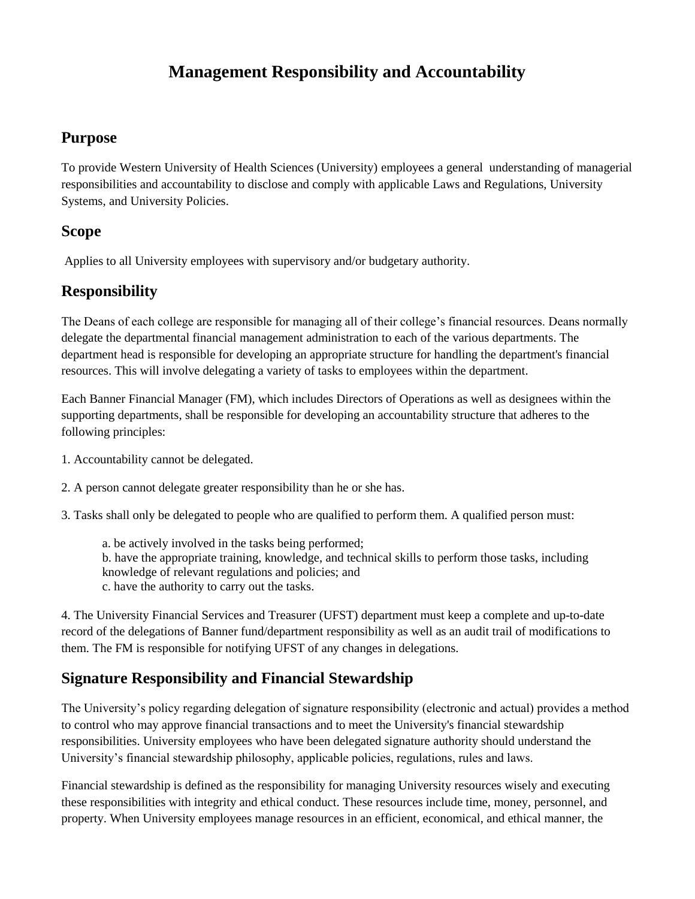# **Management Responsibility and Accountability**

## **Purpose**

To provide Western University of Health Sciences (University) employees a general understanding of managerial responsibilities and accountability to disclose and comply with applicable Laws and Regulations, University Systems, and University Policies.

## **Scope**

Applies to all University employees with supervisory and/or budgetary authority.

## **Responsibility**

The Deans of each college are responsible for managing all of their college's financial resources. Deans normally delegate the departmental financial management administration to each of the various departments. The department head is responsible for developing an appropriate structure for handling the department's financial resources. This will involve delegating a variety of tasks to employees within the department.

Each Banner Financial Manager (FM), which includes Directors of Operations as well as designees within the supporting departments, shall be responsible for developing an accountability structure that adheres to the following principles:

- 1. Accountability cannot be delegated.
- 2. A person cannot delegate greater responsibility than he or she has.
- 3. Tasks shall only be delegated to people who are qualified to perform them. A qualified person must:

a. be actively involved in the tasks being performed; b. have the appropriate training, knowledge, and technical skills to perform those tasks, including knowledge of relevant regulations and policies; and c. have the authority to carry out the tasks.

4. The University Financial Services and Treasurer (UFST) department must keep a complete and up-to-date record of the delegations of Banner fund/department responsibility as well as an audit trail of modifications to them. The FM is responsible for notifying UFST of any changes in delegations.

## **Signature Responsibility and Financial Stewardship**

The University's policy regarding delegation of signature responsibility (electronic and actual) provides a method to control who may approve financial transactions and to meet the University's financial stewardship responsibilities. University employees who have been delegated signature authority should understand the University's financial stewardship philosophy, applicable policies, regulations, rules and laws.

Financial stewardship is defined as the responsibility for managing University resources wisely and executing these responsibilities with integrity and ethical conduct. These resources include time, money, personnel, and property. When University employees manage resources in an efficient, economical, and ethical manner, the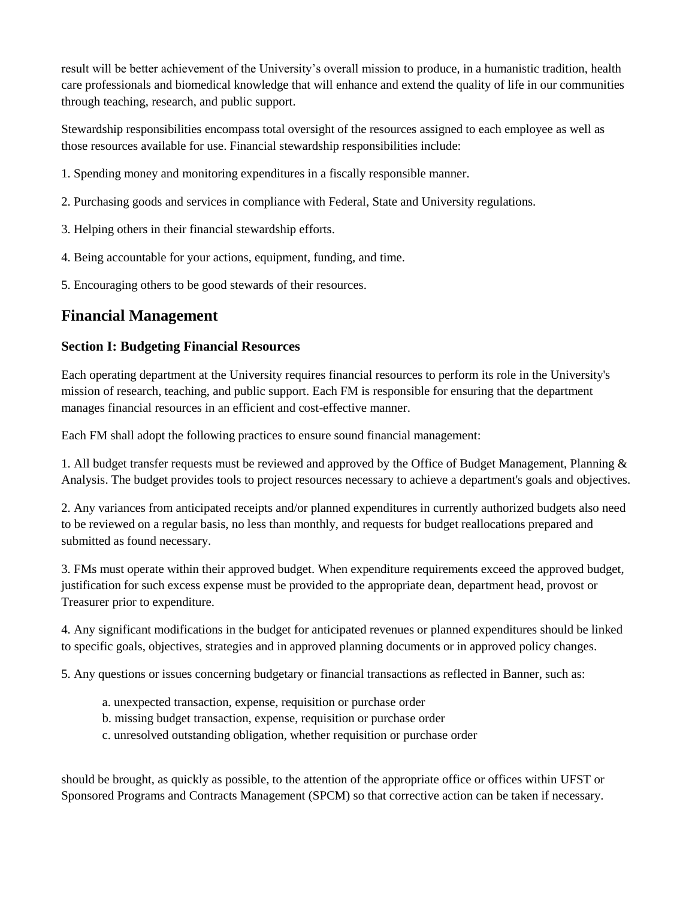result will be better achievement of the University's overall mission to produce, in a humanistic tradition, health care professionals and biomedical knowledge that will enhance and extend the quality of life in our communities through teaching, research, and public support.

Stewardship responsibilities encompass total oversight of the resources assigned to each employee as well as those resources available for use. Financial stewardship responsibilities include:

- 1. Spending money and monitoring expenditures in a fiscally responsible manner.
- 2. Purchasing goods and services in compliance with Federal, State and University regulations.
- 3. Helping others in their financial stewardship efforts.
- 4. Being accountable for your actions, equipment, funding, and time.
- 5. Encouraging others to be good stewards of their resources.

### **Financial Management**

#### **Section I: Budgeting Financial Resources**

Each operating department at the University requires financial resources to perform its role in the University's mission of research, teaching, and public support. Each FM is responsible for ensuring that the department manages financial resources in an efficient and cost-effective manner.

Each FM shall adopt the following practices to ensure sound financial management:

1. All budget transfer requests must be reviewed and approved by the Office of Budget Management, Planning  $\&$ Analysis. The budget provides tools to project resources necessary to achieve a department's goals and objectives.

2. Any variances from anticipated receipts and/or planned expenditures in currently authorized budgets also need to be reviewed on a regular basis, no less than monthly, and requests for budget reallocations prepared and submitted as found necessary.

3. FMs must operate within their approved budget. When expenditure requirements exceed the approved budget, justification for such excess expense must be provided to the appropriate dean, department head, provost or Treasurer prior to expenditure.

4. Any significant modifications in the budget for anticipated revenues or planned expenditures should be linked to specific goals, objectives, strategies and in approved planning documents or in approved policy changes.

5. Any questions or issues concerning budgetary or financial transactions as reflected in Banner, such as:

- a. unexpected transaction, expense, requisition or purchase order
- b. missing budget transaction, expense, requisition or purchase order
- c. unresolved outstanding obligation, whether requisition or purchase order

should be brought, as quickly as possible, to the attention of the appropriate office or offices within UFST or Sponsored Programs and Contracts Management (SPCM) so that corrective action can be taken if necessary.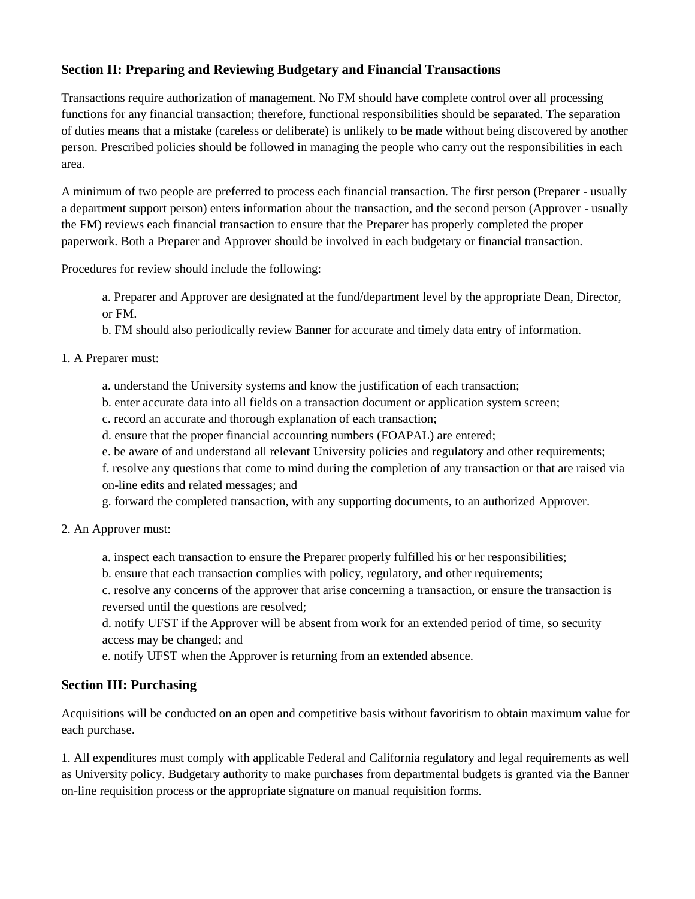#### **Section II: Preparing and Reviewing Budgetary and Financial Transactions**

Transactions require authorization of management. No FM should have complete control over all processing functions for any financial transaction; therefore, functional responsibilities should be separated. The separation of duties means that a mistake (careless or deliberate) is unlikely to be made without being discovered by another person. Prescribed policies should be followed in managing the people who carry out the responsibilities in each area.

A minimum of two people are preferred to process each financial transaction. The first person (Preparer - usually a department support person) enters information about the transaction, and the second person (Approver - usually the FM) reviews each financial transaction to ensure that the Preparer has properly completed the proper paperwork. Both a Preparer and Approver should be involved in each budgetary or financial transaction.

Procedures for review should include the following:

a. Preparer and Approver are designated at the fund/department level by the appropriate Dean, Director, or FM.

b. FM should also periodically review Banner for accurate and timely data entry of information.

#### 1. A Preparer must:

- a. understand the University systems and know the justification of each transaction;
- b. enter accurate data into all fields on a transaction document or application system screen;
- c. record an accurate and thorough explanation of each transaction;
- d. ensure that the proper financial accounting numbers (FOAPAL) are entered;
- e. be aware of and understand all relevant University policies and regulatory and other requirements;

f. resolve any questions that come to mind during the completion of any transaction or that are raised via on-line edits and related messages; and

g. forward the completed transaction, with any supporting documents, to an authorized Approver.

- 2. An Approver must:
	- a. inspect each transaction to ensure the Preparer properly fulfilled his or her responsibilities;
	- b. ensure that each transaction complies with policy, regulatory, and other requirements;

c. resolve any concerns of the approver that arise concerning a transaction, or ensure the transaction is reversed until the questions are resolved;

d. notify UFST if the Approver will be absent from work for an extended period of time, so security access may be changed; and

e. notify UFST when the Approver is returning from an extended absence.

#### **Section III: Purchasing**

Acquisitions will be conducted on an open and competitive basis without favoritism to obtain maximum value for each purchase.

1. All expenditures must comply with applicable Federal and California regulatory and legal requirements as well as University policy. Budgetary authority to make purchases from departmental budgets is granted via the Banner on-line requisition process or the appropriate signature on manual requisition forms.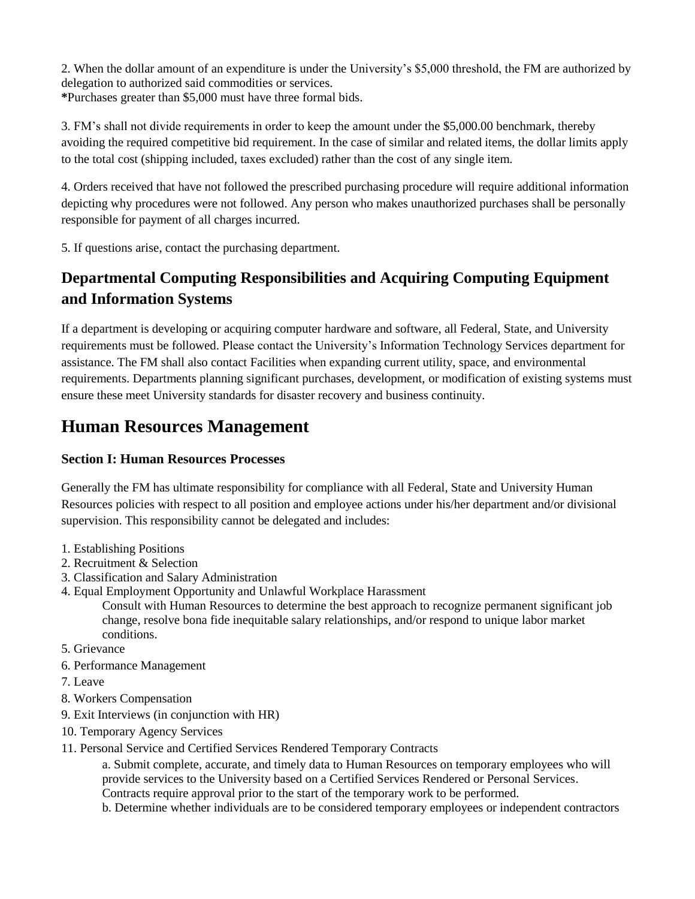2. When the dollar amount of an expenditure is under the University's \$5,000 threshold, the FM are authorized by delegation to authorized said commodities or services. **\***Purchases greater than \$5,000 must have three formal bids.

3. FM's shall not divide requirements in order to keep the amount under the \$5,000.00 benchmark, thereby avoiding the required competitive bid requirement. In the case of similar and related items, the dollar limits apply to the total cost (shipping included, taxes excluded) rather than the cost of any single item.

4. Orders received that have not followed the prescribed purchasing procedure will require additional information depicting why procedures were not followed. Any person who makes unauthorized purchases shall be personally responsible for payment of all charges incurred.

5. If questions arise, contact the purchasing department.

## **Departmental Computing Responsibilities and Acquiring Computing Equipment and Information Systems**

If a department is developing or acquiring computer hardware and software, all Federal, State, and University requirements must be followed. Please contact the University's Information Technology Services department for assistance. The FM shall also contact Facilities when expanding current utility, space, and environmental requirements. Departments planning significant purchases, development, or modification of existing systems must ensure these meet University standards for disaster recovery and business continuity.

# **Human Resources Management**

#### **Section I: Human Resources Processes**

Generally the FM has ultimate responsibility for compliance with all Federal, State and University Human Resources policies with respect to all position and employee actions under his/her department and/or divisional supervision. This responsibility cannot be delegated and includes:

- 1. Establishing Positions
- 2. Recruitment & Selection
- 3. Classification and Salary Administration
- 4. Equal Employment Opportunity and Unlawful Workplace Harassment

Consult with Human Resources to determine the best approach to recognize permanent significant job change, resolve bona fide inequitable salary relationships, and/or respond to unique labor market conditions.

- 5. Grievance
- 6. Performance Management
- 7. Leave
- 8. Workers Compensation
- 9. Exit Interviews (in conjunction with HR)
- 10. Temporary Agency Services
- 11. Personal Service and Certified Services Rendered Temporary Contracts

a. Submit complete, accurate, and timely data to Human Resources on temporary employees who will provide services to the University based on a Certified Services Rendered or Personal Services. Contracts require approval prior to the start of the temporary work to be performed.

b. Determine whether individuals are to be considered temporary employees or independent contractors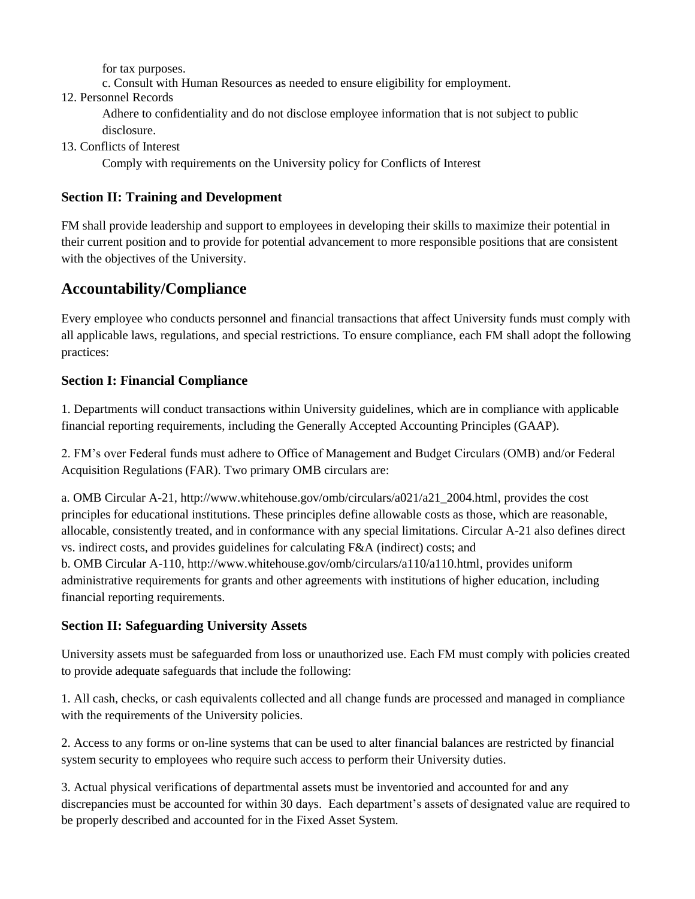for tax purposes.

c. Consult with Human Resources as needed to ensure eligibility for employment.

12. Personnel Records

Adhere to confidentiality and do not disclose employee information that is not subject to public disclosure.

13. Conflicts of Interest

Comply with requirements on the University policy for Conflicts of Interest

### **Section II: Training and Development**

FM shall provide leadership and support to employees in developing their skills to maximize their potential in their current position and to provide for potential advancement to more responsible positions that are consistent with the objectives of the University.

## **Accountability/Compliance**

Every employee who conducts personnel and financial transactions that affect University funds must comply with all applicable laws, regulations, and special restrictions. To ensure compliance, each FM shall adopt the following practices:

### **Section I: Financial Compliance**

1. Departments will conduct transactions within University guidelines, which are in compliance with applicable financial reporting requirements, including the Generally Accepted Accounting Principles (GAAP).

2. FM's over Federal funds must adhere to Office of Management and Budget Circulars (OMB) and/or Federal Acquisition Regulations (FAR). Two primary OMB circulars are:

a. OMB Circular A-21, [http://www.whitehouse.gov/omb/circulars/a021/a21\\_2004.html,](http://www.whitehouse.gov/omb/circulars/a021/a21_2004.html) provides the cost principles for educational institutions. These principles define allowable costs as those, which are reasonable, allocable, consistently treated, and in conformance with any special limitations. Circular A-21 also defines direct vs. indirect costs, and provides guidelines for calculating F&A (indirect) costs; and b. OMB Circular A-110, [http://www.whitehouse.gov/omb/circulars/a110/a110.html,](http://www.whitehouse.gov/omb/circulars/a110/a110.html) provides uniform administrative requirements for grants and other agreements with institutions of higher education, including financial reporting requirements.

#### **Section II: Safeguarding University Assets**

University assets must be safeguarded from loss or unauthorized use. Each FM must comply with policies created to provide adequate safeguards that include the following:

1. All cash, checks, or cash equivalents collected and all change funds are processed and managed in compliance with the requirements of the University policies.

2. Access to any forms or on-line systems that can be used to alter financial balances are restricted by financial system security to employees who require such access to perform their University duties.

3. Actual physical verifications of departmental assets must be inventoried and accounted for and any discrepancies must be accounted for within 30 days. Each department's assets of designated value are required to be properly described and accounted for in the Fixed Asset System.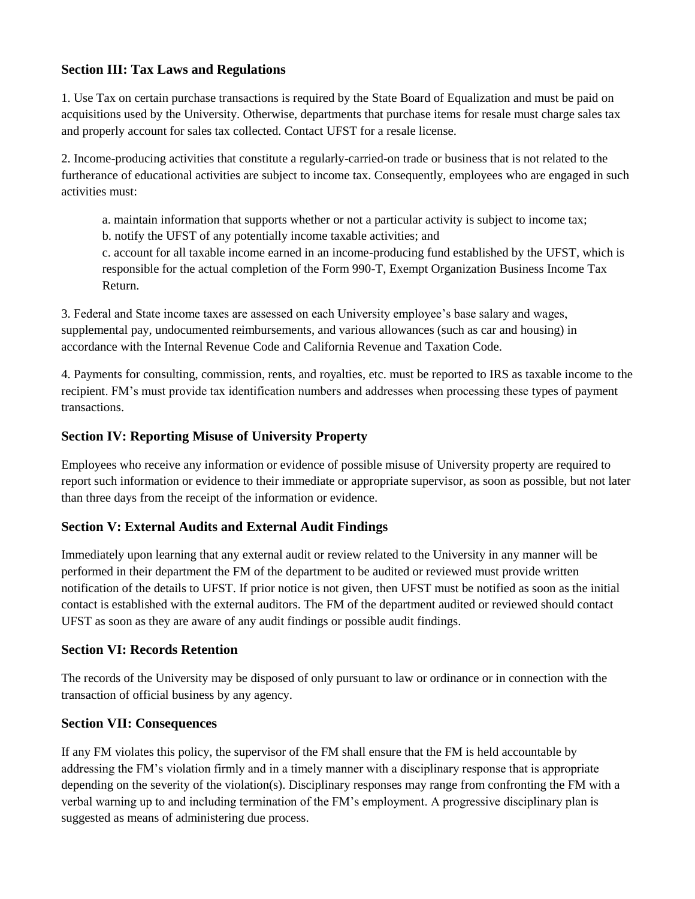#### **Section III: Tax Laws and Regulations**

1. Use Tax on certain purchase transactions is required by the State Board of Equalization and must be paid on acquisitions used by the University. Otherwise, departments that purchase items for resale must charge sales tax and properly account for sales tax collected. Contact UFST for a resale license.

2. Income-producing activities that constitute a regularly-carried-on trade or business that is not related to the furtherance of educational activities are subject to income tax. Consequently, employees who are engaged in such activities must:

a. maintain information that supports whether or not a particular activity is subject to income tax;

b. notify the UFST of any potentially income taxable activities; and

c. account for all taxable income earned in an income-producing fund established by the UFST, which is responsible for the actual completion of the Form 990-T, Exempt Organization Business Income Tax Return.

3. Federal and State income taxes are assessed on each University employee's base salary and wages, supplemental pay, undocumented reimbursements, and various allowances (such as car and housing) in accordance with the Internal Revenue Code and California Revenue and Taxation Code.

4. Payments for consulting, commission, rents, and royalties, etc. must be reported to IRS as taxable income to the recipient. FM's must provide tax identification numbers and addresses when processing these types of payment transactions.

### **Section IV: Reporting Misuse of University Property**

Employees who receive any information or evidence of possible misuse of University property are required to report such information or evidence to their immediate or appropriate supervisor, as soon as possible, but not later than three days from the receipt of the information or evidence.

#### **Section V: External Audits and External Audit Findings**

Immediately upon learning that any external audit or review related to the University in any manner will be performed in their department the FM of the department to be audited or reviewed must provide written notification of the details to UFST. If prior notice is not given, then UFST must be notified as soon as the initial contact is established with the external auditors. The FM of the department audited or reviewed should contact UFST as soon as they are aware of any audit findings or possible audit findings.

#### **Section VI: Records Retention**

The records of the University may be disposed of only pursuant to law or ordinance or in connection with the transaction of official business by any agency.

#### **Section VII: Consequences**

If any FM violates this policy, the supervisor of the FM shall ensure that the FM is held accountable by addressing the FM's violation firmly and in a timely manner with a disciplinary response that is appropriate depending on the severity of the violation(s). Disciplinary responses may range from confronting the FM with a verbal warning up to and including termination of the FM's employment. A progressive disciplinary plan is suggested as means of administering due process.